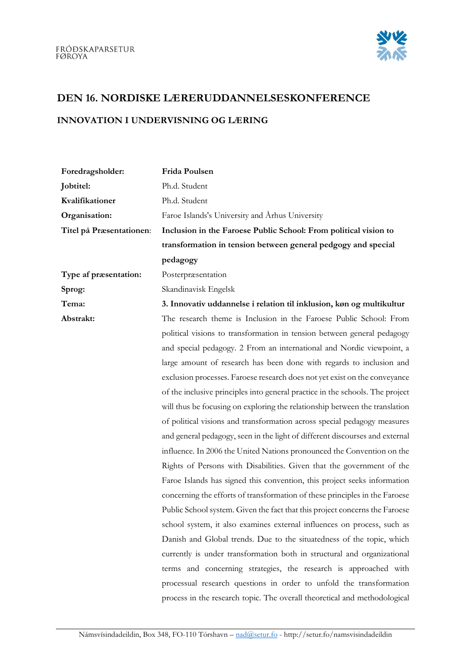

## DEN 16. NORDISKE LÆRERUDDANNELSESKONFERENCE

## INNOVATION I UNDERVISNING OG LÆRING

| Foredragsholder:         | Frida Poulsen                                                                 |
|--------------------------|-------------------------------------------------------------------------------|
| Jobtitel:                | Ph.d. Student                                                                 |
| Kvalifikationer          | Ph.d. Student                                                                 |
| Organisation:            | Faroe Islands's University and Arhus University                               |
| Titel på Præsentationen: | Inclusion in the Faroese Public School: From political vision to              |
|                          | transformation in tension between general pedgogy and special                 |
|                          | pedagogy                                                                      |
| Type af præsentation:    | Posterpræsentation                                                            |
| Sprog:                   | Skandinavisk Engelsk                                                          |
| Tema:                    | 3. Innovativ uddannelse i relation til inklusion, køn og multikultur          |
| Abstrakt:                | The research theme is Inclusion in the Faroese Public School: From            |
|                          | political visions to transformation in tension between general pedagogy       |
|                          | and special pedagogy. 2 From an international and Nordic viewpoint, a         |
|                          | large amount of research has been done with regards to inclusion and          |
|                          | exclusion processes. Faroese research does not yet exist on the conveyance    |
|                          | of the inclusive principles into general practice in the schools. The project |
|                          | will thus be focusing on exploring the relationship between the translation   |
|                          | of political visions and transformation across special pedagogy measures      |
|                          | and general pedagogy, seen in the light of different discourses and external  |
|                          | influence. In 2006 the United Nations pronounced the Convention on the        |
|                          | Rights of Persons with Disabilities. Given that the government of the         |
|                          | Faroe Islands has signed this convention, this project seeks information      |
|                          | concerning the efforts of transformation of these principles in the Faroese   |
|                          | Public School system. Given the fact that this project concerns the Faroese   |
|                          | school system, it also examines external influences on process, such as       |
|                          | Danish and Global trends. Due to the situatedness of the topic, which         |
|                          | currently is under transformation both in structural and organizational       |
|                          | terms and concerning strategies, the research is approached with              |
|                          | processual research questions in order to unfold the transformation           |
|                          | process in the research topic. The overall theoretical and methodological     |